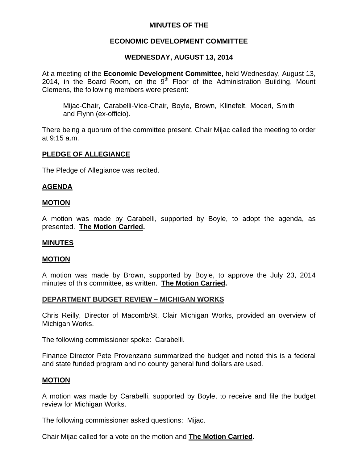## **MINUTES OF THE**

# **ECONOMIC DEVELOPMENT COMMITTEE**

# **WEDNESDAY, AUGUST 13, 2014**

At a meeting of the **Economic Development Committee**, held Wednesday, August 13, 2014, in the Board Room, on the  $9<sup>th</sup>$  Floor of the Administration Building, Mount Clemens, the following members were present:

Mijac-Chair, Carabelli-Vice-Chair, Boyle, Brown, Klinefelt, Moceri, Smith and Flynn (ex-officio).

There being a quorum of the committee present, Chair Mijac called the meeting to order at 9:15 a.m.

## **PLEDGE OF ALLEGIANCE**

The Pledge of Allegiance was recited.

## **AGENDA**

#### **MOTION**

A motion was made by Carabelli, supported by Boyle, to adopt the agenda, as presented. **The Motion Carried.** 

#### **MINUTES**

#### **MOTION**

A motion was made by Brown, supported by Boyle, to approve the July 23, 2014 minutes of this committee, as written. **The Motion Carried.** 

## **DEPARTMENT BUDGET REVIEW – MICHIGAN WORKS**

Chris Reilly, Director of Macomb/St. Clair Michigan Works, provided an overview of Michigan Works.

The following commissioner spoke: Carabelli.

Finance Director Pete Provenzano summarized the budget and noted this is a federal and state funded program and no county general fund dollars are used.

#### **MOTION**

A motion was made by Carabelli, supported by Boyle, to receive and file the budget review for Michigan Works.

The following commissioner asked questions: Mijac.

Chair Mijac called for a vote on the motion and **The Motion Carried.**